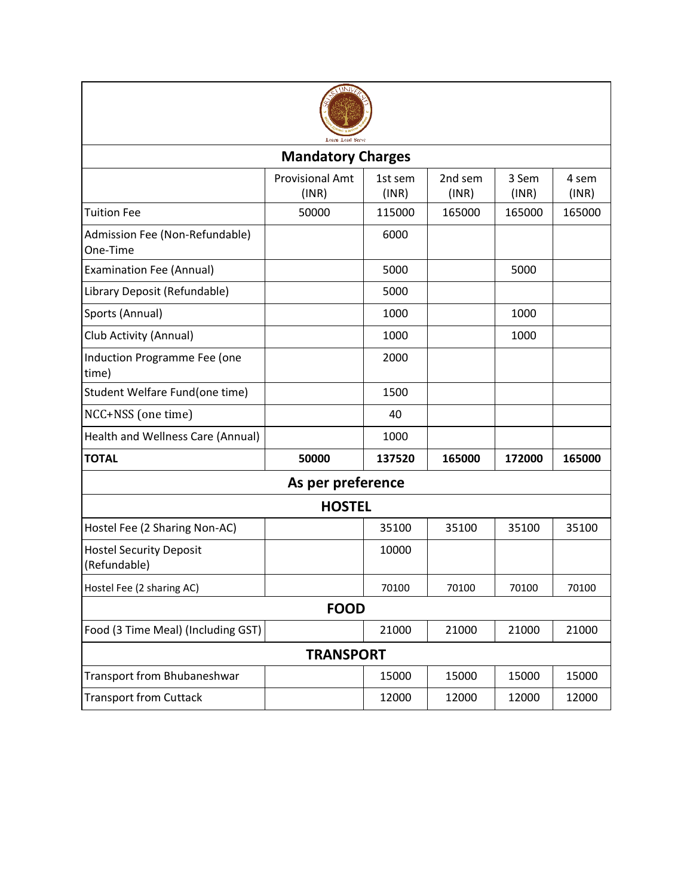

| <b>Mandatory Charges</b>                       |                                 |                  |                  |                |                |  |  |  |
|------------------------------------------------|---------------------------------|------------------|------------------|----------------|----------------|--|--|--|
|                                                | <b>Provisional Amt</b><br>(INR) | 1st sem<br>(INR) | 2nd sem<br>(INR) | 3 Sem<br>(INR) | 4 sem<br>(INR) |  |  |  |
| <b>Tuition Fee</b>                             | 50000                           | 115000           | 165000           | 165000         | 165000         |  |  |  |
| Admission Fee (Non-Refundable)<br>One-Time     |                                 | 6000             |                  |                |                |  |  |  |
| <b>Examination Fee (Annual)</b>                |                                 | 5000             |                  | 5000           |                |  |  |  |
| Library Deposit (Refundable)                   |                                 | 5000             |                  |                |                |  |  |  |
| Sports (Annual)                                |                                 | 1000             |                  | 1000           |                |  |  |  |
| Club Activity (Annual)                         |                                 | 1000             |                  | 1000           |                |  |  |  |
| Induction Programme Fee (one<br>time)          |                                 | 2000             |                  |                |                |  |  |  |
| Student Welfare Fund(one time)                 |                                 | 1500             |                  |                |                |  |  |  |
| NCC+NSS (one time)                             |                                 | 40               |                  |                |                |  |  |  |
| Health and Wellness Care (Annual)              |                                 | 1000             |                  |                |                |  |  |  |
| <b>TOTAL</b>                                   | 50000                           | 137520           | 165000           | 172000         | 165000         |  |  |  |
| As per preference                              |                                 |                  |                  |                |                |  |  |  |
| <b>HOSTEL</b>                                  |                                 |                  |                  |                |                |  |  |  |
| Hostel Fee (2 Sharing Non-AC)                  |                                 | 35100            | 35100            | 35100          | 35100          |  |  |  |
| <b>Hostel Security Deposit</b><br>(Refundable) |                                 | 10000            |                  |                |                |  |  |  |
| Hostel Fee (2 sharing AC)                      |                                 | 70100            | 70100            | 70100          | 70100          |  |  |  |
| <b>FOOD</b>                                    |                                 |                  |                  |                |                |  |  |  |
| Food (3 Time Meal) (Including GST)             |                                 | 21000            | 21000            | 21000          | 21000          |  |  |  |
| <b>TRANSPORT</b>                               |                                 |                  |                  |                |                |  |  |  |
| Transport from Bhubaneshwar                    |                                 | 15000            | 15000            | 15000          | 15000          |  |  |  |
| <b>Transport from Cuttack</b>                  |                                 | 12000            | 12000            | 12000          | 12000          |  |  |  |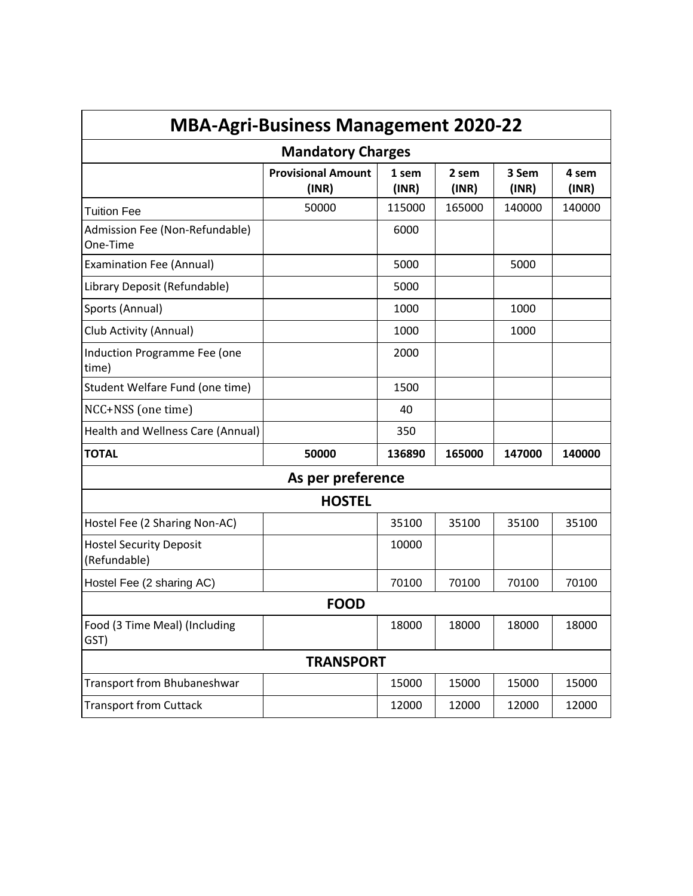| <b>MBA-Agri-Business Management 2020-22</b>    |                                    |                |                |                |                |  |  |
|------------------------------------------------|------------------------------------|----------------|----------------|----------------|----------------|--|--|
| <b>Mandatory Charges</b>                       |                                    |                |                |                |                |  |  |
|                                                | <b>Provisional Amount</b><br>(INR) | 1 sem<br>(INR) | 2 sem<br>(INR) | 3 Sem<br>(INR) | 4 sem<br>(INR) |  |  |
| <b>Tuition Fee</b>                             | 50000                              | 115000         | 165000         | 140000         | 140000         |  |  |
| Admission Fee (Non-Refundable)<br>One-Time     |                                    | 6000           |                |                |                |  |  |
| <b>Examination Fee (Annual)</b>                |                                    | 5000           |                | 5000           |                |  |  |
| Library Deposit (Refundable)                   |                                    | 5000           |                |                |                |  |  |
| Sports (Annual)                                |                                    | 1000           |                | 1000           |                |  |  |
| Club Activity (Annual)                         |                                    | 1000           |                | 1000           |                |  |  |
| Induction Programme Fee (one<br>time)          |                                    | 2000           |                |                |                |  |  |
| Student Welfare Fund (one time)                |                                    | 1500           |                |                |                |  |  |
| NCC+NSS (one time)                             |                                    | 40             |                |                |                |  |  |
| Health and Wellness Care (Annual)              |                                    | 350            |                |                |                |  |  |
| <b>TOTAL</b>                                   | 50000                              | 136890         | 165000         | 147000         | 140000         |  |  |
| As per preference                              |                                    |                |                |                |                |  |  |
| <b>HOSTEL</b>                                  |                                    |                |                |                |                |  |  |
| Hostel Fee (2 Sharing Non-AC)                  |                                    | 35100          | 35100          | 35100          | 35100          |  |  |
| <b>Hostel Security Deposit</b><br>(Refundable) |                                    | 10000          |                |                |                |  |  |
| Hostel Fee (2 sharing AC)                      |                                    | 70100          | 70100          | 70100          | 70100          |  |  |
| <b>FOOD</b>                                    |                                    |                |                |                |                |  |  |
| Food (3 Time Meal) (Including<br>GST)          |                                    | 18000          | 18000          | 18000          | 18000          |  |  |
| <b>TRANSPORT</b>                               |                                    |                |                |                |                |  |  |
| Transport from Bhubaneshwar                    |                                    | 15000          | 15000          | 15000          | 15000          |  |  |
| <b>Transport from Cuttack</b>                  |                                    | 12000          | 12000          | 12000          | 12000          |  |  |